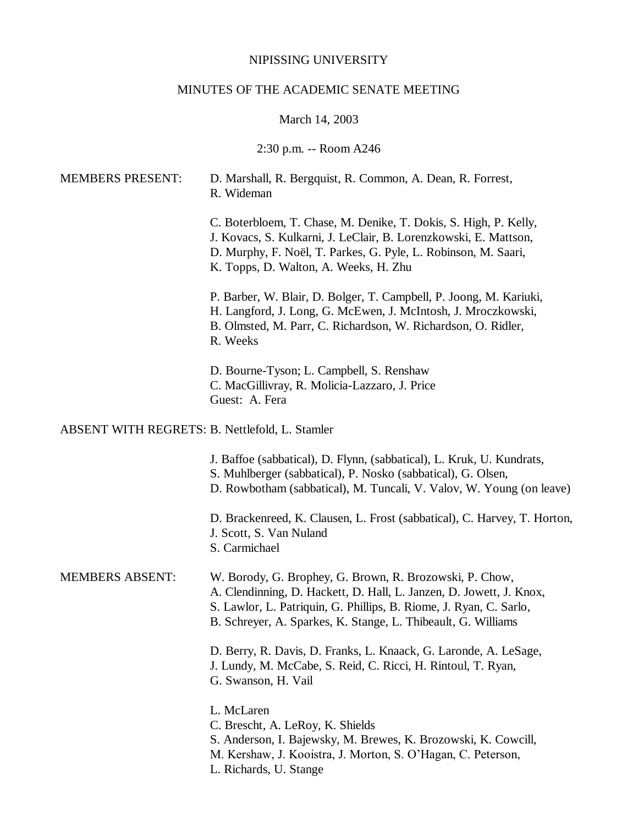# NIPISSING UNIVERSITY

# MINUTES OF THE ACADEMIC SENATE MEETING

# March 14, 2003

# 2:30 p.m. -- Room A246

| <b>MEMBERS PRESENT:</b>                        | D. Marshall, R. Bergquist, R. Common, A. Dean, R. Forrest,<br>R. Wideman                                                                                                                                                                                              |
|------------------------------------------------|-----------------------------------------------------------------------------------------------------------------------------------------------------------------------------------------------------------------------------------------------------------------------|
|                                                | C. Boterbloem, T. Chase, M. Denike, T. Dokis, S. High, P. Kelly,<br>J. Kovacs, S. Kulkarni, J. LeClair, B. Lorenzkowski, E. Mattson,<br>D. Murphy, F. Noël, T. Parkes, G. Pyle, L. Robinson, M. Saari,<br>K. Topps, D. Walton, A. Weeks, H. Zhu                       |
|                                                | P. Barber, W. Blair, D. Bolger, T. Campbell, P. Joong, M. Kariuki,<br>H. Langford, J. Long, G. McEwen, J. McIntosh, J. Mroczkowski,<br>B. Olmsted, M. Parr, C. Richardson, W. Richardson, O. Ridler,<br>R. Weeks                                                      |
|                                                | D. Bourne-Tyson; L. Campbell, S. Renshaw<br>C. MacGillivray, R. Molicia-Lazzaro, J. Price<br>Guest: A. Fera                                                                                                                                                           |
| ABSENT WITH REGRETS: B. Nettlefold, L. Stamler |                                                                                                                                                                                                                                                                       |
|                                                | J. Baffoe (sabbatical), D. Flynn, (sabbatical), L. Kruk, U. Kundrats,<br>S. Muhlberger (sabbatical), P. Nosko (sabbatical), G. Olsen,<br>D. Rowbotham (sabbatical), M. Tuncali, V. Valov, W. Young (on leave)                                                         |
|                                                | D. Brackenreed, K. Clausen, L. Frost (sabbatical), C. Harvey, T. Horton,<br>J. Scott, S. Van Nuland<br>S. Carmichael                                                                                                                                                  |
| <b>MEMBERS ABSENT:</b>                         | W. Borody, G. Brophey, G. Brown, R. Brozowski, P. Chow,<br>A. Clendinning, D. Hackett, D. Hall, L. Janzen, D. Jowett, J. Knox,<br>S. Lawlor, L. Patriquin, G. Phillips, B. Riome, J. Ryan, C. Sarlo,<br>B. Schreyer, A. Sparkes, K. Stange, L. Thibeault, G. Williams |
|                                                | D. Berry, R. Davis, D. Franks, L. Knaack, G. Laronde, A. LeSage,<br>J. Lundy, M. McCabe, S. Reid, C. Ricci, H. Rintoul, T. Ryan,<br>G. Swanson, H. Vail                                                                                                               |
|                                                | L. McLaren<br>C. Brescht, A. LeRoy, K. Shields<br>S. Anderson, I. Bajewsky, M. Brewes, K. Brozowski, K. Cowcill,                                                                                                                                                      |

- M. Kershaw, J. Kooistra, J. Morton, S. O'Hagan, C. Peterson,
- L. Richards, U. Stange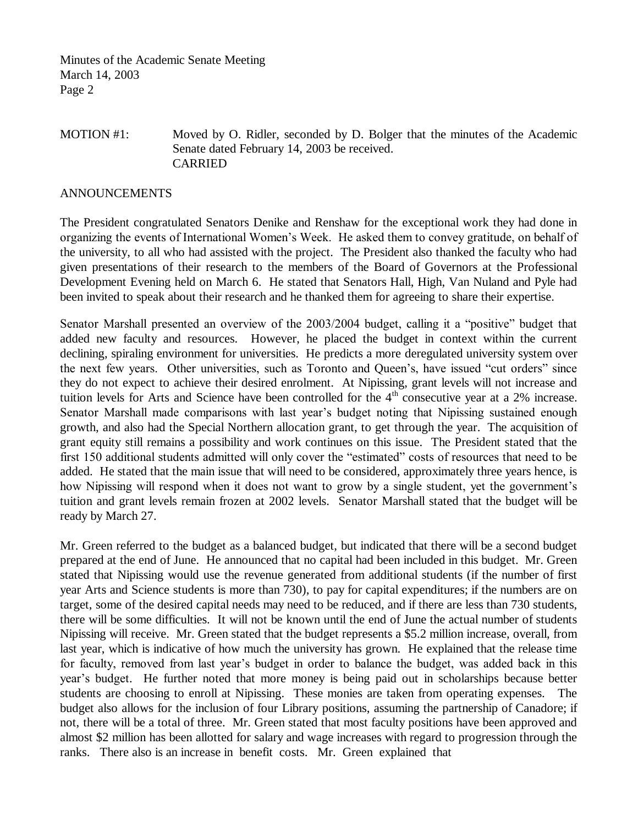Minutes of the Academic Senate Meeting March 14, 2003 Page 2

# MOTION #1: Moved by O. Ridler, seconded by D. Bolger that the minutes of the Academic Senate dated February 14, 2003 be received. CARRIED

#### ANNOUNCEMENTS

The President congratulated Senators Denike and Renshaw for the exceptional work they had done in organizing the events of International Women's Week. He asked them to convey gratitude, on behalf of the university, to all who had assisted with the project. The President also thanked the faculty who had given presentations of their research to the members of the Board of Governors at the Professional Development Evening held on March 6. He stated that Senators Hall, High, Van Nuland and Pyle had been invited to speak about their research and he thanked them for agreeing to share their expertise.

Senator Marshall presented an overview of the 2003/2004 budget, calling it a "positive" budget that added new faculty and resources. However, he placed the budget in context within the current declining, spiraling environment for universities. He predicts a more deregulated university system over the next few years. Other universities, such as Toronto and Queen's, have issued "cut orders" since they do not expect to achieve their desired enrolment. At Nipissing, grant levels will not increase and tuition levels for Arts and Science have been controlled for the 4<sup>th</sup> consecutive year at a 2% increase. Senator Marshall made comparisons with last year's budget noting that Nipissing sustained enough growth, and also had the Special Northern allocation grant, to get through the year. The acquisition of grant equity still remains a possibility and work continues on this issue. The President stated that the first 150 additional students admitted will only cover the "estimated" costs of resources that need to be added. He stated that the main issue that will need to be considered, approximately three years hence, is how Nipissing will respond when it does not want to grow by a single student, yet the government's tuition and grant levels remain frozen at 2002 levels. Senator Marshall stated that the budget will be ready by March 27.

Mr. Green referred to the budget as a balanced budget, but indicated that there will be a second budget prepared at the end of June. He announced that no capital had been included in this budget. Mr. Green stated that Nipissing would use the revenue generated from additional students (if the number of first year Arts and Science students is more than 730), to pay for capital expenditures; if the numbers are on target, some of the desired capital needs may need to be reduced, and if there are less than 730 students, there will be some difficulties. It will not be known until the end of June the actual number of students Nipissing will receive. Mr. Green stated that the budget represents a \$5.2 million increase, overall, from last year, which is indicative of how much the university has grown. He explained that the release time for faculty, removed from last year's budget in order to balance the budget, was added back in this year's budget. He further noted that more money is being paid out in scholarships because better students are choosing to enroll at Nipissing. These monies are taken from operating expenses. The budget also allows for the inclusion of four Library positions, assuming the partnership of Canadore; if not, there will be a total of three. Mr. Green stated that most faculty positions have been approved and almost \$2 million has been allotted for salary and wage increases with regard to progression through the ranks. There also is an increase in benefit costs. Mr. Green explained that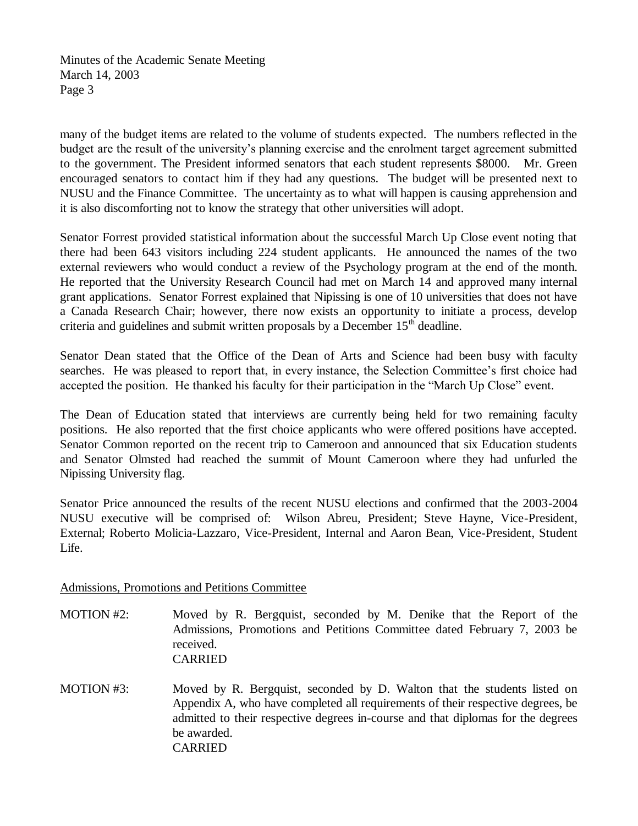Minutes of the Academic Senate Meeting March 14, 2003 Page 3

many of the budget items are related to the volume of students expected. The numbers reflected in the budget are the result of the university's planning exercise and the enrolment target agreement submitted to the government. The President informed senators that each student represents \$8000. Mr. Green encouraged senators to contact him if they had any questions. The budget will be presented next to NUSU and the Finance Committee. The uncertainty as to what will happen is causing apprehension and it is also discomforting not to know the strategy that other universities will adopt.

Senator Forrest provided statistical information about the successful March Up Close event noting that there had been 643 visitors including 224 student applicants. He announced the names of the two external reviewers who would conduct a review of the Psychology program at the end of the month. He reported that the University Research Council had met on March 14 and approved many internal grant applications. Senator Forrest explained that Nipissing is one of 10 universities that does not have a Canada Research Chair; however, there now exists an opportunity to initiate a process, develop criteria and guidelines and submit written proposals by a December  $15<sup>th</sup>$  deadline.

Senator Dean stated that the Office of the Dean of Arts and Science had been busy with faculty searches. He was pleased to report that, in every instance, the Selection Committee's first choice had accepted the position. He thanked his faculty for their participation in the "March Up Close" event.

The Dean of Education stated that interviews are currently being held for two remaining faculty positions. He also reported that the first choice applicants who were offered positions have accepted. Senator Common reported on the recent trip to Cameroon and announced that six Education students and Senator Olmsted had reached the summit of Mount Cameroon where they had unfurled the Nipissing University flag.

Senator Price announced the results of the recent NUSU elections and confirmed that the 2003-2004 NUSU executive will be comprised of: Wilson Abreu, President; Steve Hayne, Vice-President, External; Roberto Molicia-Lazzaro, Vice-President, Internal and Aaron Bean, Vice-President, Student Life.

Admissions, Promotions and Petitions Committee

MOTION #2: Moved by R. Bergquist, seconded by M. Denike that the Report of the Admissions, Promotions and Petitions Committee dated February 7, 2003 be received. CARRIED

MOTION #3: Moved by R. Bergquist, seconded by D. Walton that the students listed on Appendix A, who have completed all requirements of their respective degrees, be admitted to their respective degrees in-course and that diplomas for the degrees be awarded. CARRIED